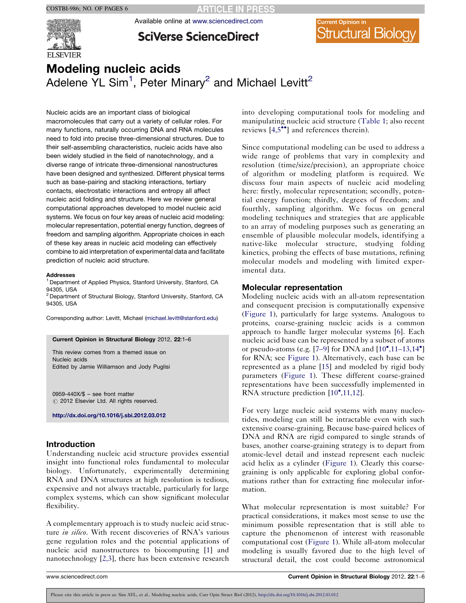**RTICLE IN PRESS** 



**SciVerse ScienceDirect** 

Available online at [www.sciencedirect.com](http://www.sciencedirect.com/science/journal/0959440X)

# Modeling nucleic acids Adelene  $\mathsf{YL}$  Sim<sup>1</sup>, Peter Minary<sup>2</sup> and Michael Levitt<sup>2</sup>

Nucleic acids are an important class of biological macromolecules that carry out a variety of cellular roles. For many functions, naturally occurring DNA and RNA molecules need to fold into precise three-dimensional structures. Due to their self-assembling characteristics, nucleic acids have also been widely studied in the field of nanotechnology, and a diverse range of intricate three-dimensional nanostructures have been designed and synthesized. Different physical terms such as base-pairing and stacking interactions, tertiary contacts, electrostatic interactions and entropy all affect nucleic acid folding and structure. Here we review general computational approaches developed to model nucleic acid systems. We focus on four key areas of nucleic acid modeling: molecular representation, potential energy function, degrees of freedom and sampling algorithm. Appropriate choices in each of these key areas in nucleic acid modeling can effectively combine to aid interpretation of experimental data and facilitate prediction of nucleic acid structure.

#### Addresses

<sup>1</sup> Department of Applied Physics, Stanford University, Stanford, CA 94305, USA

<sup>2</sup> Department of Structural Biology, Stanford University, Stanford, CA 94305, USA

Corresponding author: Levitt, Michael ([michael.levitt@stanford.edu\)](mailto:michael.levitt@stanford.edu)

#### Current Opinion in Structural Biology 2012, 22:1–6

This review comes from a themed issue on Nucleic acids Edited by Jamie Williamson and Jody Puglisi

0959-440X/\$ – see front matter  $\oslash$  2012 Elsevier Ltd. All rights reserved.

<http://dx.doi.org/10.1016/j.sbi.2012.03.012>

# Introduction

Understanding nucleic acid structure provides essential insight into functional roles fundamental to molecular biology. Unfortunately, experimentally determining RNA and DNA structures at high resolution is tedious, expensive and not always tractable, particularly for large complex systems, which can show significant molecular flexibility.

A complementary approach is to study nucleic acid structure in silico. With recent discoveries of RNA's various gene regulation roles and the potential applications of nucleic acid nanostructures to biocomputing [\[1](#page-4-0)] and nanotechnology [[2,3](#page-4-0)], there has been extensive research

into developing computational tools for modeling and manipulating nucleic acid structure [\(Table](#page-1-0) 1; also recent reviews [[4,5](#page-4-0)<sup>\*</sup>] and references therein).

Since computational modeling can be used to address a wide range of problems that vary in complexity and resolution (time/size/precision), an appropriate choice of algorithm or modeling platform is required. We discuss four main aspects of nucleic acid modeling here: firstly, molecular representation; secondly, potential energy function; thirdly, degrees of freedom; and fourthly, sampling algorithm. We focus on general modeling techniques and strategies that are applicable to an array of modeling purposes such as generating an ensemble of plausible molecular models, identifying a native-like molecular structure, studying folding kinetics, probing the effects of base mutations, refining molecular models and modeling with limited experimental data.

# Molecular representation

Modeling nucleic acids with an all-atom representation and consequent precision is computationally expensive ([Figure](#page-2-0) 1), particularly for large systems. Analogous to proteins, coarse-graining nucleic acids is a common approach to handle larger molecular systems [[6\]](#page-4-0). Each nucleic acid base can be represented by a subset of atoms or pseudo-atoms (e.g.  $[7-9]$  $[7-9]$  for DNA and  $[10^{\bullet},11-13,14^{\bullet}]$  $[10^{\bullet},11-13,14^{\bullet}]$  $[10^{\bullet},11-13,14^{\bullet}]$  $[10^{\bullet},11-13,14^{\bullet}]$  $[10^{\bullet},11-13,14^{\bullet}]$ for RNA; see [Figure](#page-2-0) 1). Alternatively, each base can be represented as a plane [[15\]](#page-4-0) and modeled by rigid body parameters [\(Figure](#page-2-0) 1). These different coarse-grained representations have been successfully implemented in RNA structure prediction [\[10](#page-4-0)<sup>°</sup>[,11,12](#page-4-0)].

For very large nucleic acid systems with many nucleotides, modeling can still be intractable even with such extensive coarse-graining. Because base-paired helices of DNA and RNA are rigid compared to single strands of bases, another coarse-graining strategy is to depart from atomic-level detail and instead represent each nucleic acid helix as a cylinder ([Figure](#page-2-0) 1). Clearly this coarsegraining is only applicable for exploring global conformations rather than for extracting fine molecular information.

What molecular representation is most suitable? For practical considerations, it makes most sense to use the minimum possible representation that is still able to capture the phenomenon of interest with reasonable computational cost ([Figure](#page-2-0) 1). While all-atom molecular modeling is usually favored due to the high level of structural detail, the cost could become astronomical

www.sciencedirect.com **Current Opinion in Structural Biology** 2012, 22:1–6

Please cite this article in press as: Sim AYL, et al.. Modeling nucleic acids, Curr Opin Struct Biol (2012), <http://dx.doi.org/10.1016/j.sbi.2012.03.012>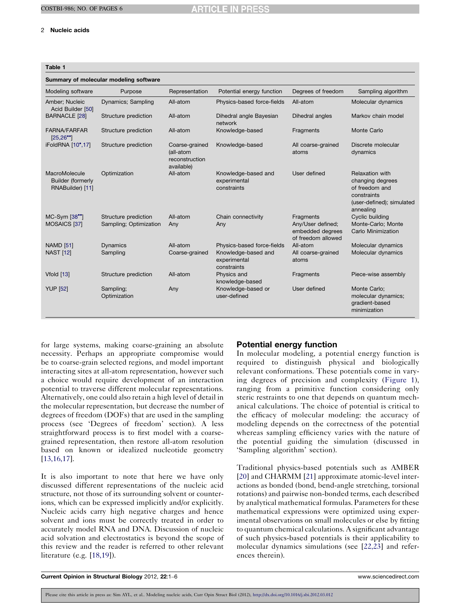## <span id="page-1-0"></span>2 Nucleic acids

| Summary of molecular modeling software                        |                                                |                                                             |                                                                                  |                                                                          |                                                                                                                |
|---------------------------------------------------------------|------------------------------------------------|-------------------------------------------------------------|----------------------------------------------------------------------------------|--------------------------------------------------------------------------|----------------------------------------------------------------------------------------------------------------|
| Modeling software                                             | Purpose                                        | Representation                                              | Potential energy function                                                        | Degrees of freedom                                                       | Sampling algorithm                                                                                             |
| Amber; Nucleic<br>Acid Builder [50]                           | Dynamics; Sampling                             | All-atom                                                    | Physics-based force-fields                                                       | All-atom                                                                 | Molecular dynamics                                                                                             |
| <b>BARNACLE</b> [28]                                          | Structure prediction                           | All-atom                                                    | Dihedral angle Bayesian<br>network                                               | Dihedral angles                                                          | Markov chain model                                                                                             |
| <b>FARNA/FARFAR</b><br>$[25, 26$ <sup>*</sup> ]               | Structure prediction                           | All-atom                                                    | Knowledge-based                                                                  | Fragments                                                                | Monte Carlo                                                                                                    |
| iFoldRNA [10°,17]                                             | Structure prediction                           | Coarse-grained<br>(all-atom<br>reconstruction<br>available) | Knowledge-based                                                                  | All coarse-grained<br>atoms                                              | Discrete molecular<br>dynamics                                                                                 |
| MacroMolecule<br><b>Builder (formerly</b><br>RNABuilder) [11] | Optimization                                   | All-atom                                                    | Knowledge-based and<br>experimental<br>constraints                               | User defined                                                             | Relaxation with<br>changing degrees<br>of freedom and<br>constraints<br>(user-defined); simulated<br>annealing |
| MC-Sym [38**]<br><b>MOSAICS [37]</b>                          | Structure prediction<br>Sampling: Optimization | All-atom<br>Any                                             | Chain connectivity<br>Any                                                        | Fragments<br>Any/User defined;<br>embedded degrees<br>of freedom allowed | Cyclic building<br>Monte-Carlo; Monte<br>Carlo Minimization                                                    |
| <b>NAMD [51]</b><br><b>NAST [12]</b>                          | <b>Dynamics</b><br>Sampling                    | All-atom<br>Coarse-grained                                  | Physics-based force-fields<br>Knowledge-based and<br>experimental<br>constraints | All-atom<br>All coarse-grained<br>atoms                                  | Molecular dynamics<br>Molecular dynamics                                                                       |
| Vfold [13]                                                    | Structure prediction                           | All-atom                                                    | Physics and<br>knowledge-based                                                   | Fragments                                                                | Piece-wise assembly                                                                                            |
| <b>YUP [52]</b>                                               | Sampling;<br>Optimization                      | Any                                                         | Knowledge-based or<br>user-defined                                               | User defined                                                             | Monte Carlo;<br>molecular dynamics;<br>gradient-based<br>minimization                                          |

for large systems, making coarse-graining an absolute necessity. Perhaps an appropriate compromise would be to coarse-grain selected regions, and model important interacting sites at all-atom representation, however such a choice would require development of an interaction potential to traverse different molecular representations. Alternatively, one could also retain a high level of detail in the molecular representation, but decrease the number of degrees of freedom (DOFs) that are used in the sampling process (see 'Degrees of freedom' section). A less straightforward process is to first model with a coarsegrained representation, then restore all-atom resolution based on known or idealized nucleotide geometry [\[13,16,17](#page-4-0)].

It is also important to note that here we have only discussed different representations of the nucleic acid structure, not those of its surrounding solvent or counterions, which can be expressed implicitly and/or explicitly. Nucleic acids carry high negative charges and hence solvent and ions must be correctly treated in order to accurately model RNA and DNA. Discussion of nucleic acid solvation and electrostatics is beyond the scope of this review and the reader is referred to other relevant literature (e.g. [\[18,19](#page-5-0)]).

## Potential energy function

In molecular modeling, a potential energy function is required to distinguish physical and biologically relevant conformations. These potentials come in varying degrees of precision and complexity ([Figure](#page-2-0) 1), ranging from a primitive function considering only steric restraints to one that depends on quantum mechanical calculations. The choice of potential is critical to the efficacy of molecular modeling: the accuracy of modeling depends on the correctness of the potential whereas sampling efficiency varies with the nature of the potential guiding the simulation (discussed in 'Sampling algorithm' section).

Traditional physics-based potentials such as AMBER [\[20](#page-5-0)] and CHARMM [\[21](#page-5-0)] approximate atomic-level interactions as bonded (bond, bend-angle stretching, torsional rotations) and pairwise non-bonded terms, each described by analytical mathematical formulas. Parameters for these mathematical expressions were optimized using experimental observations on small molecules or else by fitting to quantum chemical calculations. A significant advantage of such physics-based potentials is their applicability to molecular dynamics simulations (see [\[22,23\]](#page-5-0) and references therein).

#### Current Opinion in Structural Biology 2012, 22:1–6 www.sciencedirect.com

Please cite this article in press as: Sim AYL, et al.. Modeling nucleic acids, Curr Opin Struct Biol (2012), <http://dx.doi.org/10.1016/j.sbi.2012.03.012>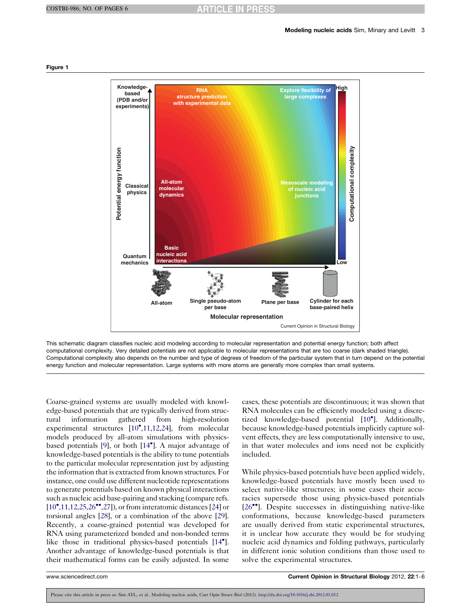

This schematic diagram classifies nucleic acid modeling according to molecular representation and potential energy function; both affect computational complexity. Very detailed potentials are not applicable to molecular representations that are too coarse (dark shaded triangle). Computational complexity also depends on the number and type of degrees of freedom of the particular system that in turn depend on the potential energy function and molecular representation. Large systems with more atoms are generally more complex than small systems.

Coarse-grained systems are usually modeled with knowledge-based potentials that are typically derived from structural information gathered from high-resolution experimental structures [\[10](#page-4-0)°[,11,12,24\]](#page-4-0), from molecular models produced by all-atom simulations with physics-based potentials [[9](#page-4-0)], or both [\[14](#page-4-0)<sup>°</sup>]. A major advantage of knowledge-based potentials is the ability to tune potentials to the particular molecular representation just by adjusting the information that is extracted from known structures.For instance, one could use different nucleotide representations to generate potentials based on known physical interactions such as nucleic acid base-pairing and stacking (compare refs. [\[10](#page-4-0)<sup>°</sup>[,11,12,25,26](#page-4-0)<sup>°</sup>°[,27](#page-4-0)]), or from interatomic distances [\[24\]](#page-5-0) or torsional angles [\[28\]](#page-5-0), or a combination of the above [[29](#page-5-0)]. Recently, a coarse-grained potential was developed for RNA using parameterized bonded and non-bonded terms like those in traditional physics-based potentials [\[14](#page-4-0)°]. Another advantage of knowledge-based potentials is that their mathematical forms can be easily adjusted. In some

cases, these potentials are discontinuous; it was shown that RNA molecules can be efficiently modeled using a discre-tized knowledge-based potential [\[10](#page-4-0)<sup>°</sup>]. Additionally, because knowledge-based potentials implicitly capture solvent effects, they are less computationally intensive to use, in that water molecules and ions need not be explicitly included.

While physics-based potentials have been applied widely, knowledge-based potentials have mostly been used to select native-like structures; in some cases their accuracies supersede those using physics-based potentials [[26](#page-5-0)<sup>••</sup>]. Despite successes in distinguishing native-like conformations, because knowledge-based parameters are usually derived from static experimental structures, it is unclear how accurate they would be for studying nucleic acid dynamics and folding pathways, particularly in different ionic solution conditions than those used to solve the experimental structures.

<span id="page-2-0"></span>Figure 1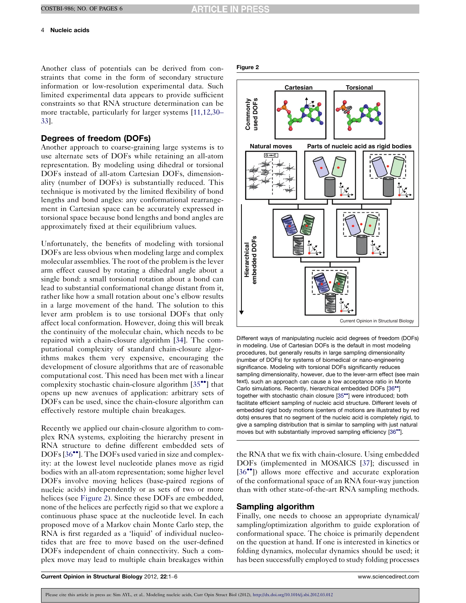## 4 Nucleic acids

Another class of potentials can be derived from constraints that come in the form of secondary structure information or low-resolution experimental data. Such limited experimental data appears to provide sufficient constraints so that RNA structure determination can be more tractable, particularly for larger systems [\[11,12,30](#page-4-0)– [33\]](#page-4-0).

# Degrees of freedom (DOFs)

Another approach to coarse-graining large systems is to use alternate sets of DOFs while retaining an all-atom representation. By modeling using dihedral or torsional DOFs instead of all-atom Cartesian DOFs, dimensionality (number of DOFs) is substantially reduced. This technique is motivated by the limited flexibility of bond lengths and bond angles: any conformational rearrangement in Cartesian space can be accurately expressed in torsional space because bond lengths and bond angles are approximately fixed at their equilibrium values.

Unfortunately, the benefits of modeling with torsional DOFs are less obvious when modeling large and complex molecular assemblies. The root of the problem is the lever arm effect caused by rotating a dihedral angle about a single bond: a small torsional rotation about a bond can lead to substantial conformational change distant from it, rather like how a small rotation about one's elbow results in a large movement of the hand. The solution to this lever arm problem is to use torsional DOFs that only affect local conformation. However, doing this will break the continuity of the molecular chain, which needs to be repaired with a chain-closure algorithm [\[34](#page-5-0)]. The computational complexity of standard chain-closure algorithms makes them very expensive, encouraging the development of closure algorithms that are of reasonable computational cost. This need has been met with a linear complexity stochastic chain-closure algorithm [[35](#page-5-0)<sup>••</sup>] that opens up new avenues of application: arbitrary sets of DOFs can be used, since the chain-closure algorithm can effectively restore multiple chain breakages.

Recently we applied our chain-closure algorithm to complex RNA systems, exploiting the hierarchy present in RNA structure to define different embedded sets of DOFs [[36](#page-5-0)<sup>\*</sup>]. The DOFs used varied in size and complexity: at the lowest level nucleotide planes move as rigid bodies with an all-atom representation; some higher level DOFs involve moving helices (base-paired regions of nucleic acids) independently or as sets of two or more helices (see Figure 2). Since these DOFs are embedded, none of the helices are perfectly rigid so that we explore a continuous phase space at the nucleotide level. In each proposed move of a Markov chain Monte Carlo step, the RNA is first regarded as a 'liquid' of individual nucleotides that are free to move based on the user-defined DOFs independent of chain connectivity. Such a complex move may lead to multiple chain breakages within





Different ways of manipulating nucleic acid degrees of freedom (DOFs) in modeling. Use of Cartesian DOFs is the default in most modeling procedures, but generally results in large sampling dimensionality (number of DOFs) for systems of biomedical or nano-engineering significance. Modeling with torsional DOFs significantly reduces sampling dimensionality, however, due to the lever-arm effect (see main text), such an approach can cause a low acceptance ratio in Monte Carlo simulations. Recently, hierarchical embedded DOFs [[36](#page-5-0)"] together with stochastic chain closure [[35](#page-5-0)\*\*] were introduced; both facilitate efficient sampling of nucleic acid structure. Different levels of embedded rigid body motions (centers of motions are illustrated by red dots) ensures that no segment of the nucleic acid is completely rigid, to give a sampling distribution that is similar to sampling with just natural moves but with substantially improved sampling efficiency [[36](#page-5-0)\*'].

the RNA that we fix with chain-closure. Using embedded DOFs (implemented in MOSAICS [[37](#page-5-0)]; discussed in [\[36](#page-5-0)<sup>••</sup>]) allows more effective and accurate exploration of the conformational space of an RNA four-way junction than with other state-of-the-art RNA sampling methods.

#### Sampling algorithm

Finally, one needs to choose an appropriate dynamical/ sampling/optimization algorithm to guide exploration of conformational space. The choice is primarily dependent on the question at hand. If one is interested in kinetics or folding dynamics, molecular dynamics should be used; it has been successfully employed to study folding processes

Please cite this article in press as: Sim AYL, et al.. Modeling nucleic acids, Curr Opin Struct Biol (2012), <http://dx.doi.org/10.1016/j.sbi.2012.03.012>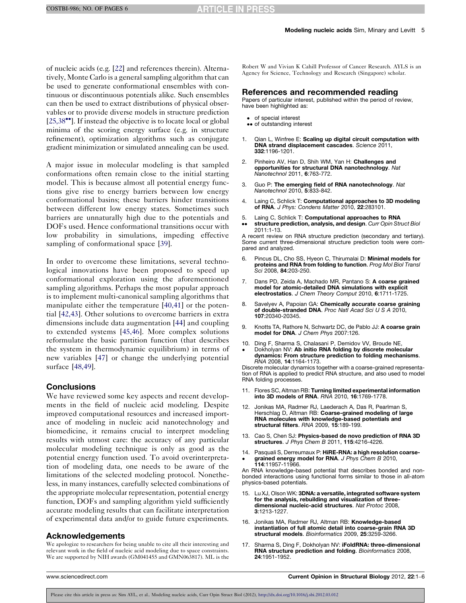<span id="page-4-0"></span>of nucleic acids (e.g. [\[22\]](#page-5-0) and references therein). Alternatively, Monte Carlo is a general sampling algorithm that can be used to generate conformational ensembles with continuous or discontinuous potentials alike. Such ensembles can then be used to extract distributions of physical observables or to provide diverse models in structure prediction [\[25,38](#page-5-0)<sup>\*</sup>]. If instead the objective is to locate local or global minima of the scoring energy surface (e.g. in structure refinement), optimization algorithms such as conjugate gradient minimization or simulated annealing can be used.

A major issue in molecular modeling is that sampled conformations often remain close to the initial starting model. This is because almost all potential energy functions give rise to energy barriers between low energy conformational basins; these barriers hinder transitions between different low energy states. Sometimes such barriers are unnaturally high due to the potentials and DOFs used. Hence conformational transitions occur with low probability in simulations, impeding effective sampling of conformational space [[39\]](#page-5-0).

In order to overcome these limitations, several technological innovations have been proposed to speed up conformational exploration using the aforementioned sampling algorithms. Perhaps the most popular approach is to implement multi-canonical sampling algorithms that manipulate either the temperature [[40,41](#page-5-0)] or the potential [\[42,43\]](#page-5-0). Other solutions to overcome barriers in extra dimensions include data augmentation [[44](#page-5-0)] and coupling to extended systems [[45,46](#page-5-0)]. More complex solutions reformulate the basic partition function (that describes the system in thermodynamic equilibrium) in terms of new variables [[47\]](#page-5-0) or change the underlying potential surface [[48,49](#page-5-0)].

# Conclusions

We have reviewed some key aspects and recent developments in the field of nucleic acid modeling. Despite improved computational resources and increased importance of modeling in nucleic acid nanotechnology and biomedicine, it remains crucial to interpret modeling results with utmost care: the accuracy of any particular molecular modeling technique is only as good as the potential energy function used. To avoid overinterpretation of modeling data, one needs to be aware of the limitations of the selected modeling protocol. Nonetheless, in many instances, carefully selected combinations of the appropriate molecular representation, potential energy function, DOFs and sampling algorithm yield sufficiently accurate modeling results that can facilitate interpretation of experimental data and/or to guide future experiments.

# Acknowledgements

We apologize to researchers for being unable to cite all their interesting and relevant work in the field of nucleic acid modeling due to space constraints. We are supported by NIH awards (GM041455 and GMN063817). ML is the Robert W and Vivian K Cahill Professor of Cancer Research. AYLS is an Agency for Science, Technology and Research (Singapore) scholar.

## References and recommended reading

Papers of particular interest, published within the period of review, have been highlighted as:

- of special interest
- of special interest<br>•• of outstanding interest
- 1. Qian L, Winfree E: Scaling up digital circuit computation with DNA strand displacement cascades. Science 2011, 332:1196-1201.
- 2. Pinheiro AV, Han D, Shih WM, Yan H: Challenges and opportunities for structural DNA nanotechnology. Nat Nanotechnol 2011, 6:763-772.
- Guo P: The emerging field of RNA nanotechnology. Nat Nanotechnol 2010, 5:833-842.
- 4. Laing C, Schlick T: Computational approaches to 3D modeling of RNA. J Phys: Condens Matter 2010, 22:283101.
- 5. Laing C, Schlick T: Computational approaches to RNA
- -structure prediction, analysis, and design. Curr Opin Struct Biol 2011:1-13.

A recent review on RNA structure prediction (secondary and tertiary). Some current three-dimensional structure prediction tools were compared and analyzed.

- Pincus DL, Cho SS, Hyeon C, Thirumalai D: Minimal models for proteins and RNA from folding to function. Prog Mol Biol Transl Sci 2008, 84:203-250.
- 7. Dans PD, Zeida A, Machado MR, Pantano S: A coarse grained model for atomic-detailed DNA simulations with explicit electrostatics. J Chem Theory Comput 2010, 6:1711-1725.
- 8. Savelyev A, Papoian GA: Chemically accurate coarse graining of double-stranded DNA. Proc Natl Acad Sci U S A 2010, 107:20340-20345.
- 9. Knotts TA, Rathore N, Schwartz DC, de Pablo JJ: A coarse grain model for DNA. J Chem Phys 2007:126.
- 10. -Ding F, Sharma S, Chalasani P, Demidov VV, Broude NE, Dokholyan NV: Ab initio RNA folding by discrete molecular dynamics: From structure prediction to folding mechanisms. RNA 2008, 14:1164-1173.

Discrete molecular dynamics together with a coarse-grained representation of RNA is applied to predict RNA structure, and also used to model RNA folding processes.

- 11. Flores SC, Altman RB: Turning limited experimental information into 3D models of RNA. RNA 2010, 16:1769-1778.
- 12. Jonikas MA, Radmer RJ, Laederach A, Das R, Pearlman S, Herschlag D, Altman RB: Coarse-grained modeling of large RNA molecules with knowledge-based potentials and structural filters. RNA 2009, 15:189-199.
- 13. Cao S, Chen SJ: Physics-based de novo prediction of RNA 3D structures. J Phys Chem B 2011, 115:4216-4226.
- 14. Pasquali S, Derreumaux P: HiRE-RNA: a high resolution coarse-grained energy model for RNA. *J Phys Chem B* 2010,<br>114:11957-11966.

An RNA knowledge-based potential that describes bonded and nonbonded interactions using functional forms similar to those in all-atom physics-based potentials.

- 15. Lu XJ, Olson WK: 3DNA: a versatile, integrated software system for the analysis, rebuilding and visualization of threedimensional nucleic-acid structures. Nat Protoc 2008, 3:1213-1227.
- 16. Jonikas MA, Radmer RJ, Altman RB: Knowledge-based instantiation of full atomic detail into coarse-grain RNA 3D structural models. Bioinformatics 2009, 25:3259-3266.
- Sharma S, Ding F, Dokholyan NV: iFoldRNA: three-dimensional RNA structure prediction and folding. Bioinformatics 2008, 24:1951-1952.

www.sciencedirect.com **Current Opinion in Structural Biology** 2012, 22:1–6